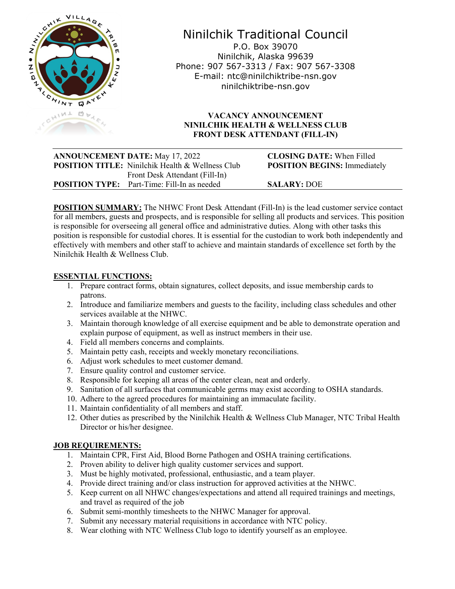

# Ninilchik Traditional Council

P.O. Box 39070 Ninilchik, Alaska 99639 Phone: 907 567-3313 / Fax: 907 567-3308 E-mail: ntc@ninilchiktribe-nsn.gov ninilchiktribe-nsn.gov

## **VACANCY ANNOUNCEMENT NINILCHIK HEALTH & WELLNESS CLUB FRONT DESK ATTENDANT (FILL-IN)**

| Front Desk Attendant (Fill-In) | <b>ANNOUNCEMENT DATE: May 17, 2022</b><br><b>POSITION TITLE:</b> Ninilchik Health & Wellness Club | <b>CLOSING DATE:</b> When Filled<br><b>POSITION BEGINS: Immediately</b> |  |
|--------------------------------|---------------------------------------------------------------------------------------------------|-------------------------------------------------------------------------|--|
|                                | <b>POSITION TYPE:</b> Part-Time: Fill-In as needed                                                | <b>SALARY: DOE</b>                                                      |  |

**POSITION SUMMARY:** The NHWC Front Desk Attendant (Fill-In) is the lead customer service contact for all members, guests and prospects, and is responsible for selling all products and services. This position is responsible for overseeing all general office and administrative duties. Along with other tasks this position is responsible for custodial chores. It is essential for the custodian to work both independently and effectively with members and other staff to achieve and maintain standards of excellence set forth by the Ninilchik Health & Wellness Club.

## **ESSENTIAL FUNCTIONS:**

- 1. Prepare contract forms, obtain signatures, collect deposits, and issue membership cards to patrons.
- 2. Introduce and familiarize members and guests to the facility, including class schedules and other services available at the NHWC.
- 3. Maintain thorough knowledge of all exercise equipment and be able to demonstrate operation and explain purpose of equipment, as well as instruct members in their use.
- 4. Field all members concerns and complaints.
- 5. Maintain petty cash, receipts and weekly monetary reconciliations.
- 6. Adjust work schedules to meet customer demand.
- 7. Ensure quality control and customer service.
- 8. Responsible for keeping all areas of the center clean, neat and orderly.
- 9. Sanitation of all surfaces that communicable germs may exist according to OSHA standards.
- 10. Adhere to the agreed procedures for maintaining an immaculate facility.
- 11. Maintain confidentiality of all members and staff.
- 12. Other duties as prescribed by the Ninilchik Health & Wellness Club Manager, NTC Tribal Health Director or his/her designee.

## **JOB REQUIREMENTS:**

- 1. Maintain CPR, First Aid, Blood Borne Pathogen and OSHA training certifications.
- 2. Proven ability to deliver high quality customer services and support.
- 3. Must be highly motivated, professional, enthusiastic, and a team player.
- 4. Provide direct training and/or class instruction for approved activities at the NHWC.
- 5. Keep current on all NHWC changes/expectations and attend all required trainings and meetings, and travel as required of the job
- 6. Submit semi-monthly timesheets to the NHWC Manager for approval.
- 7. Submit any necessary material requisitions in accordance with NTC policy.
- 8. Wear clothing with NTC Wellness Club logo to identify yourself as an employee.